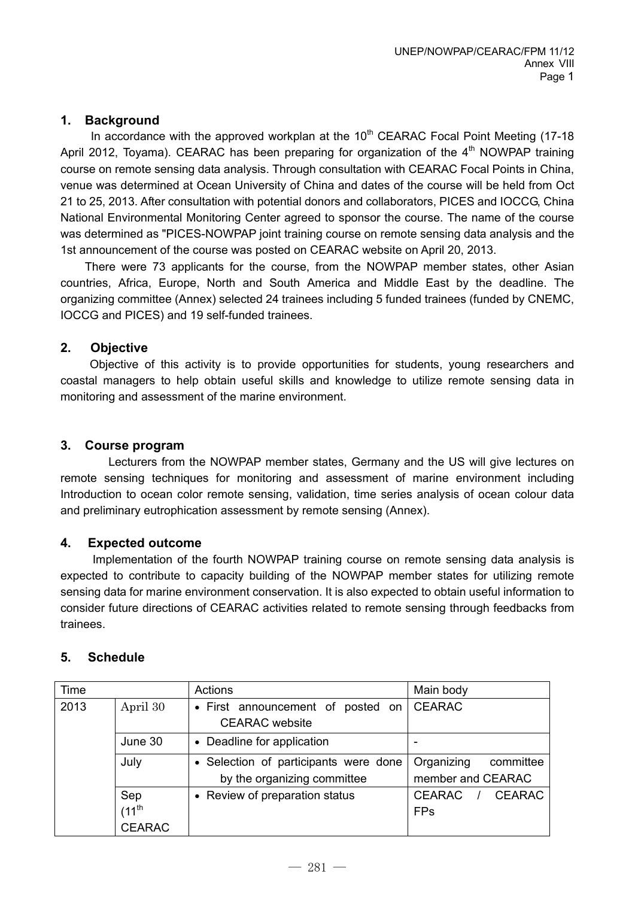# **1. Background**

In accordance with the approved workplan at the  $10<sup>th</sup>$  CEARAC Focal Point Meeting (17-18) April 2012, Toyama). CEARAC has been preparing for organization of the  $4<sup>th</sup>$  NOWPAP training course on remote sensing data analysis. Through consultation with CEARAC Focal Points in China, venue was determined at Ocean University of China and dates of the course will be held from Oct 21 to 25, 2013. After consultation with potential donors and collaborators, PICES and IOCCG, China National Environmental Monitoring Center agreed to sponsor the course. The name of the course was determined as "PICES-NOWPAP joint training course on remote sensing data analysis and the 1st announcement of the course was posted on CEARAC website on April 20, 2013.

There were 73 applicants for the course, from the NOWPAP member states, other Asian countries, Africa, Europe, North and South America and Middle East by the deadline. The organizing committee (Annex) selected 24 trainees including 5 funded trainees (funded by CNEMC, IOCCG and PICES) and 19 self-funded trainees.

# **2. Objective**

 Objective of this activity is to provide opportunities for students, young researchers and coastal managers to help obtain useful skills and knowledge to utilize remote sensing data in monitoring and assessment of the marine environment.

# **3. Course program**

 Lecturers from the NOWPAP member states, Germany and the US will give lectures on remote sensing techniques for monitoring and assessment of marine environment including Introduction to ocean color remote sensing, validation, time series analysis of ocean colour data and preliminary eutrophication assessment by remote sensing (Annex).

# **4. Expected outcome**

Implementation of the fourth NOWPAP training course on remote sensing data analysis is expected to contribute to capacity building of the NOWPAP member states for utilizing remote sensing data for marine environment conservation. It is also expected to obtain useful information to consider future directions of CEARAC activities related to remote sensing through feedbacks from trainees.

# **5. Schedule**

| Time |               | Actions                                                    | Main body                      |
|------|---------------|------------------------------------------------------------|--------------------------------|
| 2013 | April 30      | • First announcement of posted on<br><b>CEARAC</b> website | <b>CEARAC</b>                  |
|      | June 30       | • Deadline for application                                 |                                |
|      | July          | • Selection of participants were done                      | Organizing<br>committee        |
|      |               | by the organizing committee                                | member and CEARAC              |
|      | Sep           | • Review of preparation status                             | <b>CEARAC</b><br><b>CEARAC</b> |
|      | $(11^{th}$    |                                                            | <b>FPs</b>                     |
|      | <b>CEARAC</b> |                                                            |                                |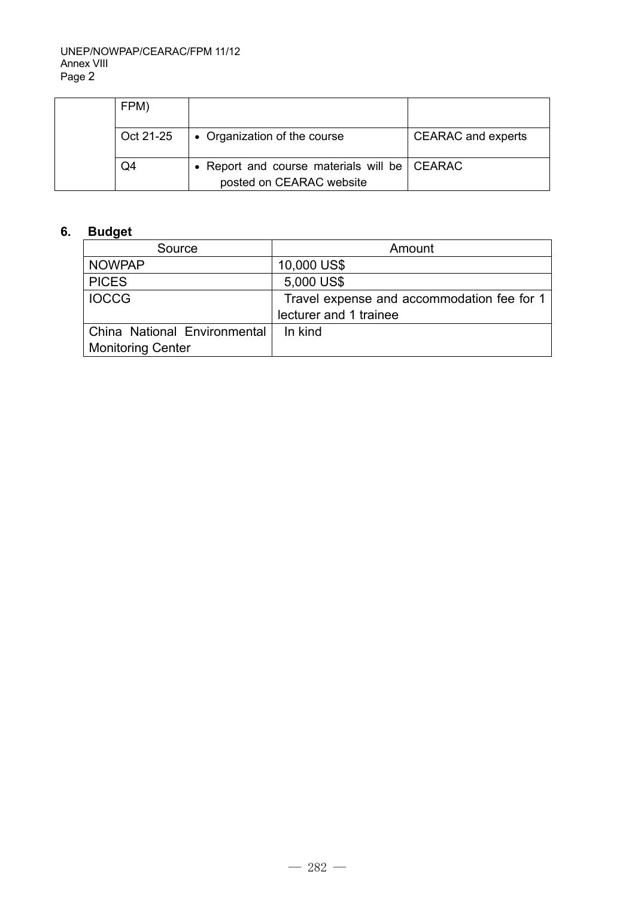| FPM)      |                                                |                           |
|-----------|------------------------------------------------|---------------------------|
| Oct 21-25 | • Organization of the course                   | <b>CEARAC</b> and experts |
| Q4        | • Report and course materials will be   CEARAC |                           |
|           | posted on CEARAC website                       |                           |

# **6. Budget**

| Source                       | Amount                                     |
|------------------------------|--------------------------------------------|
| <b>NOWPAP</b>                | 10,000 US\$                                |
| <b>PICES</b>                 | 5,000 US\$                                 |
| <b>IOCCG</b>                 | Travel expense and accommodation fee for 1 |
|                              | lecturer and 1 trainee                     |
| China National Environmental | In kind                                    |
| <b>Monitoring Center</b>     |                                            |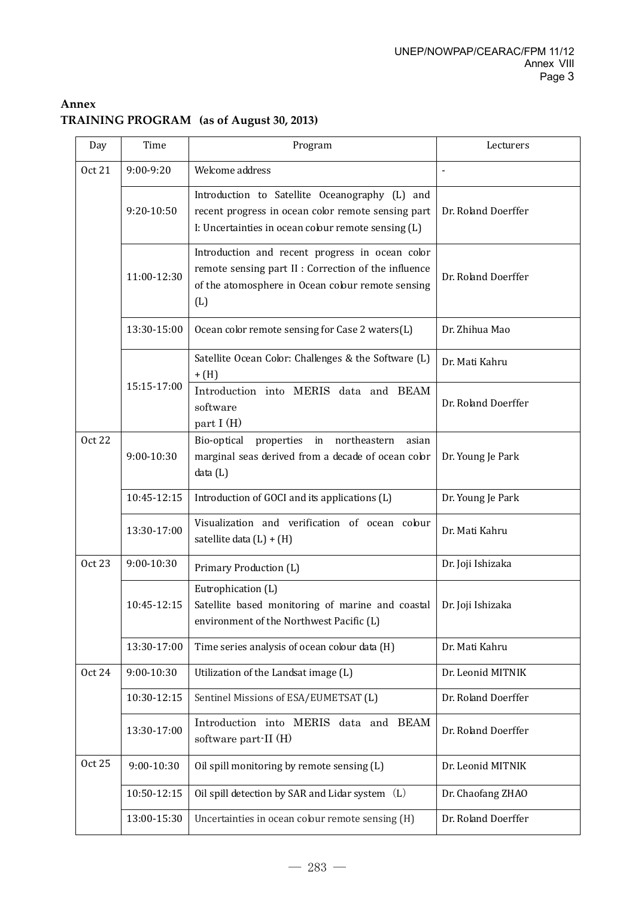# **Annex TRAINING PROGRAM (as of August 30, 2013)**

| Day           | Time        | Program                                                                                                                                                             | Lecturers           |
|---------------|-------------|---------------------------------------------------------------------------------------------------------------------------------------------------------------------|---------------------|
| <b>Oct 21</b> | 9:00-9:20   | Welcome address                                                                                                                                                     |                     |
|               | 9:20-10:50  | Introduction to Satellite Oceanography (L) and<br>recent progress in ocean color remote sensing part<br>I: Uncertainties in ocean colour remote sensing (L)         | Dr. Roland Doerffer |
|               | 11:00-12:30 | Introduction and recent progress in ocean color<br>remote sensing part II : Correction of the influence<br>of the atomosphere in Ocean colour remote sensing<br>(L) | Dr. Roland Doerffer |
|               | 13:30-15:00 | Ocean color remote sensing for Case 2 waters(L)                                                                                                                     | Dr. Zhihua Mao      |
|               | 15:15-17:00 | Satellite Ocean Color: Challenges & the Software (L)<br>$+$ (H)                                                                                                     | Dr. Mati Kahru      |
|               |             | Introduction into MERIS data and BEAM<br>software<br>part I (H)                                                                                                     | Dr. Roland Doerffer |
| <b>Oct 22</b> | 9:00-10:30  | northeastern<br>Bio-optical<br>properties<br>in<br>asian<br>marginal seas derived from a decade of ocean color<br>data (L)                                          | Dr. Young Je Park   |
|               | 10:45-12:15 | Introduction of GOCI and its applications (L)                                                                                                                       | Dr. Young Je Park   |
|               | 13:30-17:00 | Visualization and verification of ocean colour<br>satellite data $(L) + (H)$                                                                                        | Dr. Mati Kahru      |
| <b>Oct 23</b> | 9:00-10:30  | Primary Production (L)                                                                                                                                              | Dr. Joji Ishizaka   |
|               | 10:45-12:15 | Eutrophication (L)<br>Satellite based monitoring of marine and coastal<br>environment of the Northwest Pacific (L)                                                  | Dr. Joji Ishizaka   |
|               | 13:30-17:00 | Time series analysis of ocean colour data (H)                                                                                                                       | Dr. Mati Kahru      |
| <b>Oct 24</b> | 9:00-10:30  | Utilization of the Landsat image (L)                                                                                                                                | Dr. Leonid MITNIK   |
|               | 10:30-12:15 | Sentinel Missions of ESA/EUMETSAT (L)                                                                                                                               | Dr. Roland Doerffer |
|               | 13:30-17:00 | Introduction into MERIS data and BEAM<br>software part-II (H)                                                                                                       | Dr. Roland Doerffer |
| <b>Oct 25</b> | 9:00-10:30  | Oil spill monitoring by remote sensing (L)                                                                                                                          | Dr. Leonid MITNIK   |
|               | 10:50-12:15 | Oil spill detection by SAR and Lidar system (L)                                                                                                                     | Dr. Chaofang ZHAO   |
|               | 13:00-15:30 | Uncertainties in ocean colour remote sensing (H)                                                                                                                    | Dr. Roland Doerffer |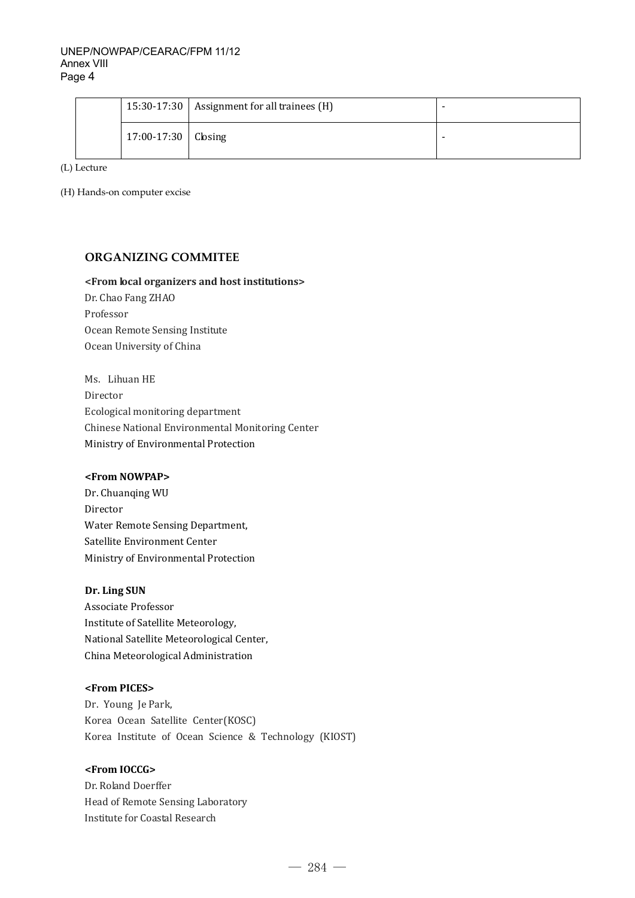|                       | 15:30-17:30   Assignment for all trainees $(H)$ | - |
|-----------------------|-------------------------------------------------|---|
| $17:00-17:30$ Closing |                                                 |   |

(L) Lecture

(H) Hands-on computer excise

## **ORGANIZING COMMITEE**

#### **<From local organizers and host institutions>**

Dr. Chao Fang ZHAO Professor Ocean Remote Sensing Institute Ocean University of China

Ms. Lihuan HE Director Ecological monitoring department Chinese National Environmental Monitoring Center Ministry of Environmental Protection

### **<From NOWPAP>**

Dr. Chuanqing WU Director Water Remote Sensing Department, Satellite Environment Center Ministry of Environmental Protection

## **Dr. Ling SUN**

Associate Professor Institute of Satellite Meteorology, National Satellite Meteorological Center, China Meteorological Administration

## **<From PICES>**

Dr. Young Je Park, Korea Ocean Satellite Center(KOSC) Korea Institute of Ocean Science & Technology (KIOST)

#### **<From IOCCG>**

Dr. Roland Doerffer Head of Remote Sensing Laboratory Institute for Coastal Research